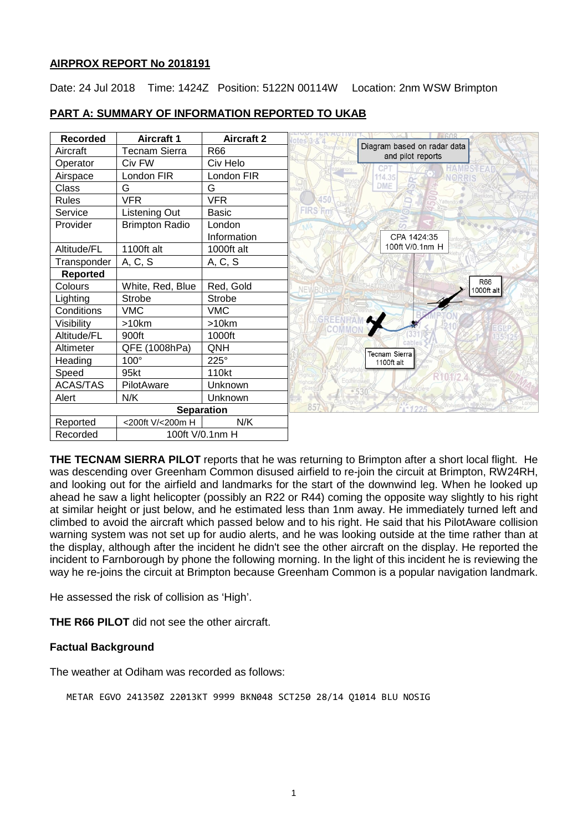#### **AIRPROX REPORT No 2018191**

Date: 24 Jul 2018 Time: 1424Z Position: 5122N 00114W Location: 2nm WSW Brimpton

| <b>Recorded</b>   | <b>Aircraft 1</b>     | <b>Aircraft 2</b> | $otes 3 - 8$                                     |
|-------------------|-----------------------|-------------------|--------------------------------------------------|
| Aircraft          | <b>Tecnam Sierra</b>  | R66               | Diagram based on radar data<br>and pilot reports |
| Operator          | Civ FW                | Civ Helo          | CP.<br><b>HAMPSTE</b>                            |
| Airspace          | London FIR            | London FIR        | 114.35<br><b>NORRIS</b>                          |
| Class             | G                     | G                 | <b>DME</b>                                       |
| <b>Rules</b>      | <b>VFR</b>            | <b>VFR</b>        | 450                                              |
| Service           | Listening Out         | <b>Basic</b>      | FIRS' <sub>Fm</sub>                              |
| Provider          | <b>Brimpton Radio</b> | London            |                                                  |
|                   |                       | Information       | CPA 1424:35                                      |
| Altitude/FL       | 1100ft alt            | 1000ft alt        | 100ft V/0.1nm H                                  |
| Transponder       | A, C, S               | A, C, S           |                                                  |
| <b>Reported</b>   |                       |                   |                                                  |
| Colours           | White, Red, Blue      | Red, Gold         | R66<br>NF<br>1000ft alt                          |
| Lighting          | <b>Strobe</b>         | <b>Strobe</b>     |                                                  |
| Conditions        | <b>VMC</b>            | <b>VMC</b>        |                                                  |
| Visibility        | $>10$ km              | >10km             |                                                  |
| Altitude/FL       | 900ft                 | 1000ft            |                                                  |
| Altimeter         | QFE (1008hPa)         | QNH               | Tecnam Sierra                                    |
| Heading           | $100^\circ$           | $225^\circ$       | 1100ft alt                                       |
| Speed             | 95kt                  | 110kt             |                                                  |
| <b>ACAS/TAS</b>   | PilotAware            | Unknown           |                                                  |
| Alert             | N/K                   | Unknown           |                                                  |
| <b>Separation</b> |                       |                   | 85                                               |
| Reported          | <200ft V/<200m H      | N/K               |                                                  |
| Recorded          | 100ft V/0.1nm H       |                   |                                                  |

# **PART A: SUMMARY OF INFORMATION REPORTED TO UKAB**

**THE TECNAM SIERRA PILOT** reports that he was returning to Brimpton after a short local flight. He was descending over Greenham Common disused airfield to re-join the circuit at Brimpton, RW24RH, and looking out for the airfield and landmarks for the start of the downwind leg. When he looked up ahead he saw a light helicopter (possibly an R22 or R44) coming the opposite way slightly to his right at similar height or just below, and he estimated less than 1nm away. He immediately turned left and climbed to avoid the aircraft which passed below and to his right. He said that his PilotAware collision warning system was not set up for audio alerts, and he was looking outside at the time rather than at the display, although after the incident he didn't see the other aircraft on the display. He reported the incident to Farnborough by phone the following morning. In the light of this incident he is reviewing the way he re-joins the circuit at Brimpton because Greenham Common is a popular navigation landmark.

He assessed the risk of collision as 'High'.

**THE R66 PILOT** did not see the other aircraft.

# **Factual Background**

The weather at Odiham was recorded as follows:

METAR EGVO 241350Z 22013KT 9999 BKN048 SCT250 28/14 Q1014 BLU NOSIG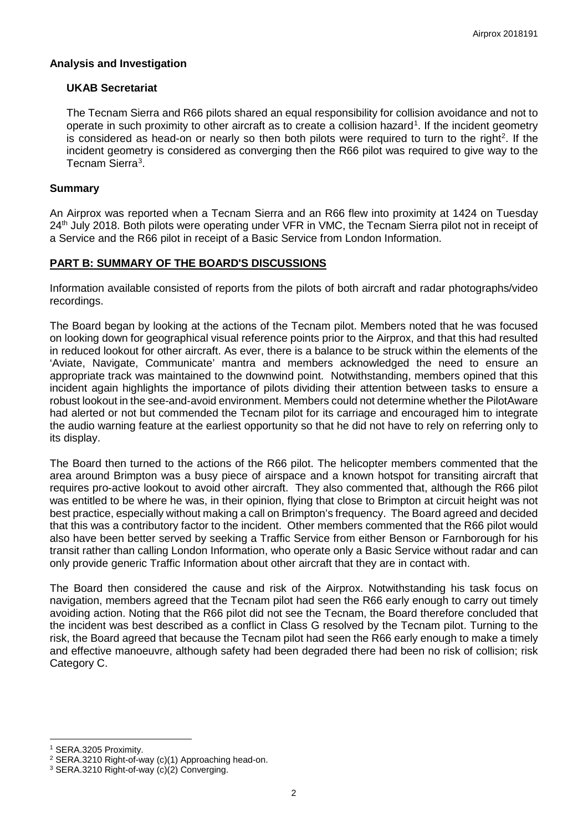#### **Analysis and Investigation**

# **UKAB Secretariat**

The Tecnam Sierra and R66 pilots shared an equal responsibility for collision avoidance and not to operate in such proximity to other aircraft as to create a collision hazard<sup>[1](#page-1-0)</sup>. If the incident geometry is considered as head-on or nearly so then both pilots were required to turn to the right<sup>[2](#page-1-1)</sup>. If the incident geometry is considered as converging then the R66 pilot was required to give way to the Tecnam Sierra<sup>[3](#page-1-2)</sup>.

### **Summary**

An Airprox was reported when a Tecnam Sierra and an R66 flew into proximity at 1424 on Tuesday 24<sup>th</sup> July 2018. Both pilots were operating under VFR in VMC, the Tecnam Sierra pilot not in receipt of a Service and the R66 pilot in receipt of a Basic Service from London Information.

# **PART B: SUMMARY OF THE BOARD'S DISCUSSIONS**

Information available consisted of reports from the pilots of both aircraft and radar photographs/video recordings.

The Board began by looking at the actions of the Tecnam pilot. Members noted that he was focused on looking down for geographical visual reference points prior to the Airprox, and that this had resulted in reduced lookout for other aircraft. As ever, there is a balance to be struck within the elements of the 'Aviate, Navigate, Communicate' mantra and members acknowledged the need to ensure an appropriate track was maintained to the downwind point. Notwithstanding, members opined that this incident again highlights the importance of pilots dividing their attention between tasks to ensure a robust lookout in the see-and-avoid environment. Members could not determine whether the PilotAware had alerted or not but commended the Tecnam pilot for its carriage and encouraged him to integrate the audio warning feature at the earliest opportunity so that he did not have to rely on referring only to its display.

The Board then turned to the actions of the R66 pilot. The helicopter members commented that the area around Brimpton was a busy piece of airspace and a known hotspot for transiting aircraft that requires pro-active lookout to avoid other aircraft. They also commented that, although the R66 pilot was entitled to be where he was, in their opinion, flying that close to Brimpton at circuit height was not best practice, especially without making a call on Brimpton's frequency. The Board agreed and decided that this was a contributory factor to the incident. Other members commented that the R66 pilot would also have been better served by seeking a Traffic Service from either Benson or Farnborough for his transit rather than calling London Information, who operate only a Basic Service without radar and can only provide generic Traffic Information about other aircraft that they are in contact with.

The Board then considered the cause and risk of the Airprox. Notwithstanding his task focus on navigation, members agreed that the Tecnam pilot had seen the R66 early enough to carry out timely avoiding action. Noting that the R66 pilot did not see the Tecnam, the Board therefore concluded that the incident was best described as a conflict in Class G resolved by the Tecnam pilot. Turning to the risk, the Board agreed that because the Tecnam pilot had seen the R66 early enough to make a timely and effective manoeuvre, although safety had been degraded there had been no risk of collision; risk Category C.

 $\overline{\phantom{a}}$ 

<span id="page-1-0"></span><sup>1</sup> SERA.3205 Proximity.

<span id="page-1-1"></span><sup>2</sup> SERA.3210 Right-of-way (c)(1) Approaching head-on.

<span id="page-1-2"></span><sup>3</sup> SERA.3210 Right-of-way (c)(2) Converging.